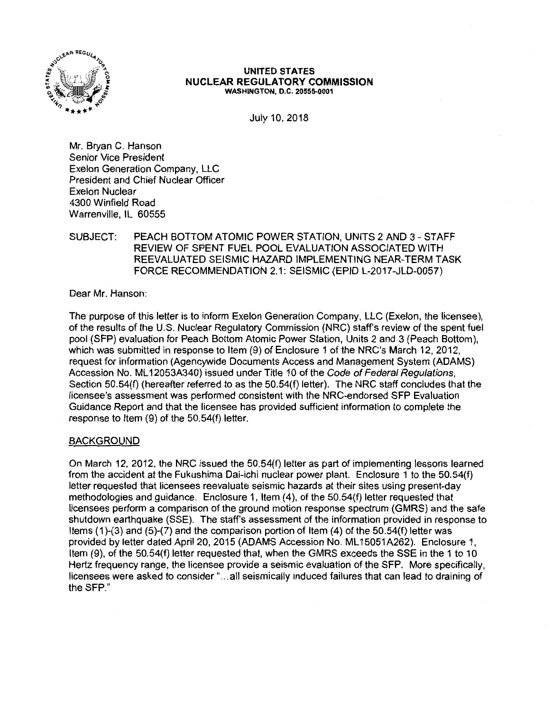

#### **UNITED ST ATES NUCLEAR REGULATORY COMMISSION WASHINGTON, D.C. 20555-0001**

July 10, 2018

Mr. Bryan C. Hanson Senior Vice President Exelon Generation Company, LLC President and Chief Nuclear Officer Exelon Nuclear 4300 Winfield Road Warrenville, IL 60555

### SUBJECT: PEACH BOTTOM ATOMIC POWER STATION, UNITS 2 AND 3- STAFF REVIEW OF SPENT FUEL POOL EVALUATION ASSOCIATED WITH REEVALUATED SEISMIC HAZARD IMPLEMENTING NEAR-TERM TASK FORCE RECOMMENDATION 2.1: SEISMIC (EPID L-2017-JLD-0057)

Dear Mr. Hanson:

The purpose of this letter is to inform Exelon Generation Company, LLC (Exelon, the licensee), of the results of the U.S. Nuclear Regulatory Commission (NRC) staff's review of the spent fuel pool (SFP) evaluation for Peach Bottom Atomic Power Station, Units 2 and 3 (Peach Bottom), which was submitted in response to Item (9) of Enclosure 1 of the NRC's March 12, 2012, request for information (Agencywide Documents Access and Management System (ADAMS) Accession No. ML12053A340) issued under Title 10 of the Code of Federal Regulations. Section 50.54(f) (hereafter referred to as the 50.54(f) letter). The NRC staff concludes that the licensee's assessment was performed consistent with the NRG-endorsed SFP Evaluation Guidance Report and that the licensee has provided sufficient information to complete the response to Item (9) of the 50.54(f) letter.

#### BACKGROUND

On March 12, 2012, the NRC issued the 50.54(f) letter as part of implementing lessons learned from the accident at the Fukushima Dai-ichi nuclear power plant. Enclosure 1 to the 50.54(f) letter requested that licensees reevaluate seismic hazards at their sites using present-day methodologies and guidance. Enclosure 1, Item (4), of the 50.54(f) letter requested that licensees perform a comparison of the ground motion response spectrum (GMRS) and the safe shutdown earthquake (SSE). The staff's assessment of the information provided in response to Items (1 )-(3) and (5)-(7) and the comparison portion of Item (4) of the 50.54(f) letter was provided by letter dated April 20, 2015 (ADAMS Accession No. ML 15051 A262). Enclosure 1, Item (9), of the 50.54(f) letter requested that, when the GMRS exceeds the SSE in the 1 to 10 Hertz frequency range, the licensee provide a seismic evaluation of the SFP. More specifically, licensees were asked to consider "... all seismically induced failures that can lead to draining of the SFP."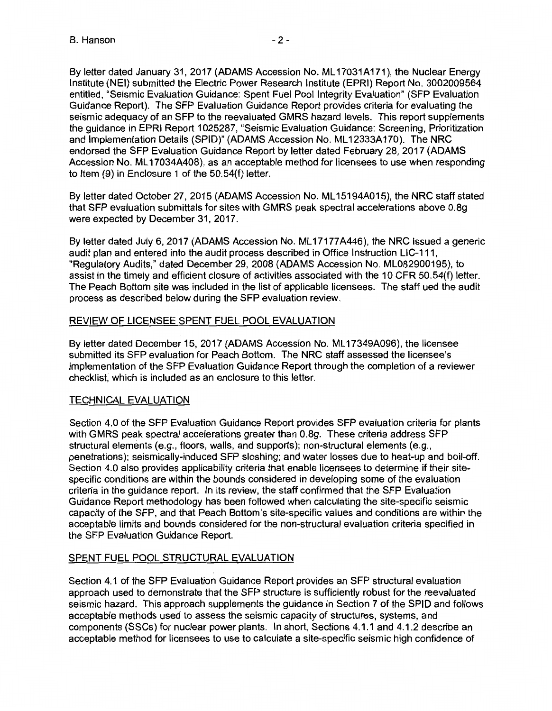By letter dated January 31, 2017 (ADAMS Accession No. ML17031A171), the Nuclear Energy Institute (NEI} submitted the Electric Power Research Institute (EPRI) Report No. 3002009564 entitled, "Seismic Evaluation Guidance: Spent Fuel Pool Integrity Evaluation" (SFP Evaluation Guidance Report). The SFP Evaluation Guidance Report provides criteria for evaluating the seismic adequacy of an SFP to the reevaluated GMRS hazard levels. This report supplements the guidance in EPRI Report 1025287, "Seismic Evaluation Guidance: Screening, Prioritization and Implementation Details (SPID)" (ADAMS Accession No. ML 12333A 170). The NRC endorsed the SFP Evaluation Guidance Report by letter dated February 28, 2017 (ADAMS Accession No. ML 17034A408}, as an acceptable method for licensees to use when responding to Item (9) in Enclosure 1 of the 50.54(f) letter.

By letter dated October 27, 2015 (ADAMS Accession No. ML 15194A015), the NRC staff stated that SFP evaluation submittals for sites with GMRS peak spectral accelerations above 0.8g were expected by December 31, 2017.

By letter dated July 6, 2017 (ADAMS Accession No. ML17177A446), the NRC issued a generic audit plan and entered into the audit process described in Office Instruction LIC-111, "Regulatory Audits," dated December 29, 2008 (ADAMS Accession No. ML082900195), to assist in the timely and efficient closure of activities associated with the 10 CFR 50.54(f) letter. The Peach Bottom site was included in the list of applicable licensees. The staff ued the audit process as described below during the SFP evaluation review.

## REVIEW OF LICENSEE SPENT FUEL POOL EVALUATION

By letter dated December 15, 2017 (ADAMS Accession No. ML 17349A096), the licensee submitted its SFP evaluation for Peach Bottom. The NRC staff assessed the licensee's implementation of the SFP Evaluation Guidance Report through the completion of a reviewer checklist, which is included as an enclosure to this letter.

## TECHNICAL EVALUATION

Section 4.0 of the SFP Evaluation Guidance Report provides SFP evaluation criteria for plants with GMRS peak spectral accelerations greater than 0.8g. These criteria address SFP structural elements (e.g., floors, walls, and supports); non-structural elements (e.g., penetrations); seismically-induced SFP sloshing; and water losses due to heat-up and boil-off. Section 4.0 also provides applicability criteria that enable licensees to determine if their sitespecific conditions are within the bounds considered in developing some of the evaluation criteria in the guidance report. In its review, the staff confirmed that the SFP Evaluation Guidance Report methodology has been followed when calculating the site-specific seismic capacity of the SFP, and that Peach Bottom's site-specific values and conditions are within the acceptable limits and bounds considered for the non-structural evaluation criteria specified in the SFP Evaluation Guidance Report.

## SPENT FUEL POOL STRUCTURAL EVALUATION

Section 4.1 of the SFP Evaluation Guidance Report provides an SFP structural evaluation approach used to demonstrate that the SFP structure is sufficiently robust for the reevaluated seismic hazard. This approach supplements the guidance in Section 7 of the SPID and follows acceptable methods used to assess the seismic capacity of structures, systems, and components (SSCs) for nuclear power plants. In short, Sections 4.1.1 and 4.1.2 describe an acceptable method for licensees to use to calculate a site-specific seismic high confidence of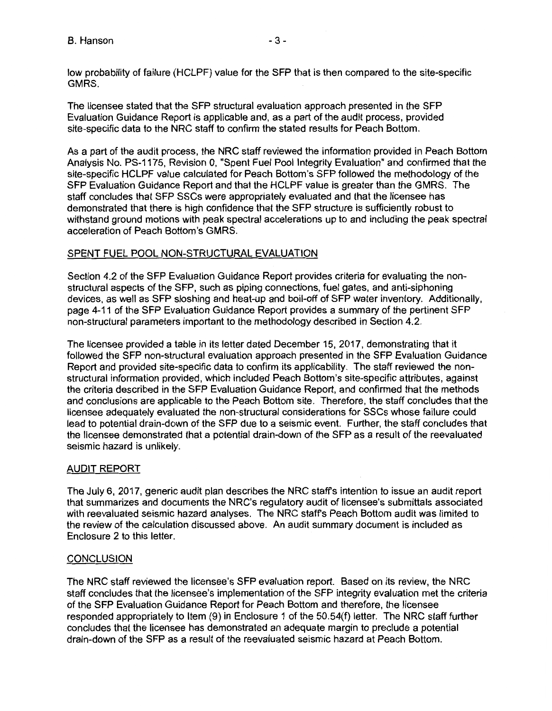low probability of failure (HCLPF) value for the SFP that is then compared to the site-specific **GMRS.** 

The licensee stated that the SFP structural evaluation approach presented in the SFP Evaluation Guidance Report is applicable and, as a part of the audit process, provided site-specific data to the NRC staff to confirm the stated results for Peach Bottom.

As a part of the audit process, the NRC staff reviewed the information provided in Peach Bottom Analysis No. PS-1175, Revision 0, "Spent Fuel Pool Integrity Evaluation" and confirmed that the site-specific HCLPF value calculated for Peach Bottom's SFP followed the methodology of the SFP Evaluation Guidance Report and that the HCLPF value is greater than the GMRS. The staff concludes that SFP SSCs were appropriately evaluated and that the licensee has demonstrated that there is high confidence that the SFP structure is sufficiently robust to withstand ground motions with peak spectral accelerations up to and including the peak spectral acceleration of Peach Bottom's GMRS.

## SPENT FUEL POOL NON-STRUCTURAL EVALUATION

Section 4.2 of the SFP Evaluation Guidance Report provides criteria for evaluating the nonstructural aspects of the SFP, such as piping connections, fuel gates, and anti-siphoning devices, as well as SFP sloshing and heat-up and boil-off of SFP water inventory. Additionally, page 4-11 of the SFP Evaluation Guidance Report provides a summary of the pertinent SFP non-structural parameters important to the methodology described in Section 4.2.

The licensee provided a table in its letter dated December 15, 2017, demonstrating that it followed the SFP non-structural evaluation approach presented in the SFP Evaluation Guidance Report and provided site-specific data to confirm its applicability. The staff reviewed the nonstructural information provided, which included Peach Bottom's site-specific attributes, against the criteria described in the SFP Evaluation Guidance Report, and confirmed that the methods and conclusions are applicable to the Peach Bottom site. Therefore, the staff concludes that the licensee adequately evaluated the non-structural considerations for SSCs whose failure could lead to potential drain-down of the SFP due to a seismic event. Further, the staff concludes that the licensee demonstrated that a potential drain-down of the SFP as a result of the reevaluated seismic hazard is unlikely.

#### AUDIT REPORT

The July 6, 2017, generic audit plan describes the NRC staffs intention to issue an audit report that summarizes and documents the NRC's regulatory audit of licensee's submittals associated with reevaluated seismic hazard analyses. The NRC staffs Peach Bottom audit was limited to the review of the calculation discussed above. An audit summary document is included as Enclosure 2 to this letter.

## **CONCLUSION**

The NRC staff reviewed the licensee's SFP evaluation report. Based on its review, the NRC staff concludes that the licensee's implementation of the SFP integrity evaluation met the criteria of the SFP Evaluation Guidance Report for Peach Bottom and therefore, the licensee responded appropriately to Item (9) in Enclosure 1 of the 50.54(f) letter. The NRC staff further concludes that the licensee has demonstrated an adequate margin to preclude a potential drain-down of the SFP as a result of the reevaluated seismic hazard at Peach Bottom.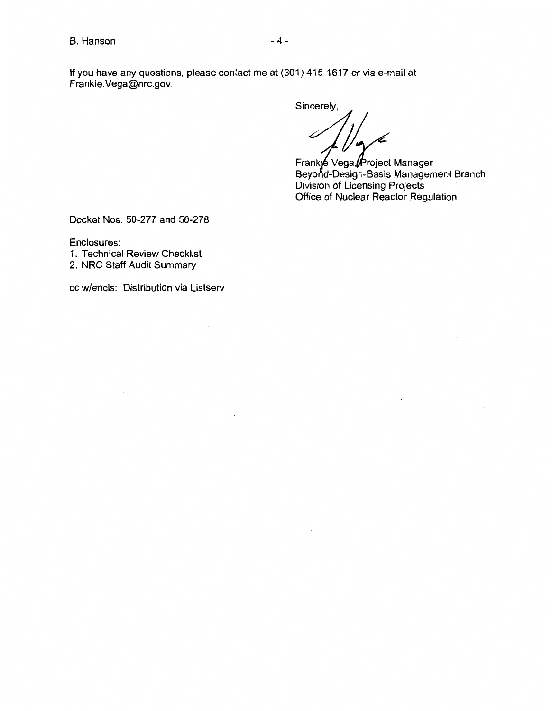Sincerely,

Frankje Vega Project Manager Beyond-Design-Basis Management Branch Division of Licensing Projects Office of Nuclear Reactor Regulation

Docket Nos. 50-277 and 50-278

Enclosures:

1. Technical Review Checklist

2. NRC Staff Audit Summary

cc w/encls: Distribution via Listserv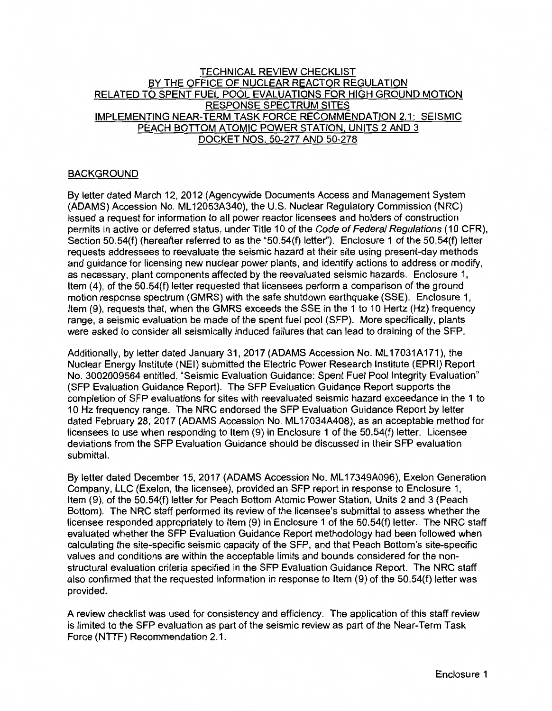### TECHNICAL REVIEW CHECKLIST BY THE OFFICE OF NUCLEAR REACTOR REGULATION RELATED TO SPENT FUEL POOL EVALUATIONS FOR HIGH GROUND MOTION RESPONSE SPECTRUM SITES IMPLEMENTING NEAR-TERM TASK FORCE RECOMMENDATION 2.1: SEISMIC PEACH BOTTOM ATOMIC POWER STATION, UNITS 2 AND 3 DOCKET NOS. 50-277 AND 50-278

### BACKGROUND

By letter dated March 12, 2012 (Agencywide Documents Access and Management System (ADAMS) Accession No. ML 12053A340), the U.S. Nuclear Regulatory Commission (NRC) issued a request for information to all power reactor licensees and holders of construction permits in active or deferred status, under Title 10 of the Code of Federal Regulations ( 10 CFR), Section 50.54(f) (hereafter referred to as the "50.54(f) letter"). Enclosure 1 of the 50.54(f) letter requests addressees to reevaluate the seismic hazard at their site using present-day methods and guidance for licensing new nuclear power plants, and identify actions to address or modify, as necessary, plant components affected by the reevaluated seismic hazards. Enclosure 1, Item (4), of the 50.54(f) letter requested that licensees perform a comparison of the ground motion response spectrum (GMRS) with the safe shutdown earthquake (SSE). Enclosure 1, Item (9), requests that, when the GMRS exceeds the SSE in the 1 to 10 Hertz (Hz) frequency range, a seismic evaluation be made of the spent fuel pool (SFP). More specifically, plants were asked to consider all seismically induced failures that can lead to draining of the SFP.

Additionally, by letter dated January 31, 2017 (ADAMS Accession No. ML 17031A171), the Nuclear Energy Institute (NEI) submitted the Electric Power Research Institute (EPRI) Report No. 3002009564 entitled, "Seismic Evaluation Guidance: Spent Fuel Pool Integrity Evaluation" (SFP Evaluation Guidance Report). The SFP Evaluation Guidance Report supports the completion of SFP evaluations for sites with reevaluated seismic hazard exceedance in the 1 to 10 Hz frequency range. The NRC endorsed the SFP Evaluation Guidance Report by letter dated February 28, 2017 (ADAMS Accession No. ML 17034A408), as an acceptable method for licensees to use when responding to Item (9) in Enclosure 1 of the 50.54(f) letter. Licensee deviations from the SFP Evaluation Guidance should be discussed in their SFP evaluation submittal.

By letter dated December 15, 2017 (ADAMS Accession No. ML17349A096), Exelon Generation Company, LLC (Exelon, the licensee), provided an SFP report in response to Enclosure 1, Item (9), of the 50.54(f) letter for Peach Bottom Atomic Power Station, Units 2 and 3 (Peach Bottom). The NRC staff performed its review of the licensee's submittal to assess whether the licensee responded appropriately to Item (9) in Enclosure 1 of the 50.54(f) letter. The NRC staff evaluated whether the SFP Evaluation Guidance Report methodology had been followed when calculating the site-specific seismic capacity of the SFP, and that Peach Bottom's site-specific values and conditions are within the acceptable limits and bounds considered for the nonstructural evaluation criteria specified in the SFP Evaluation Guidance Report. The NRC staff also confirmed that the requested information in response to Item (9) of the 50.54(f) letter was provided.

A review checklist was used for consistency and efficiency. The application of this staff review is limited to the SFP evaluation as part of the seismic review as part of the Near-Term Task Force (NTTF) Recommendation 2.1.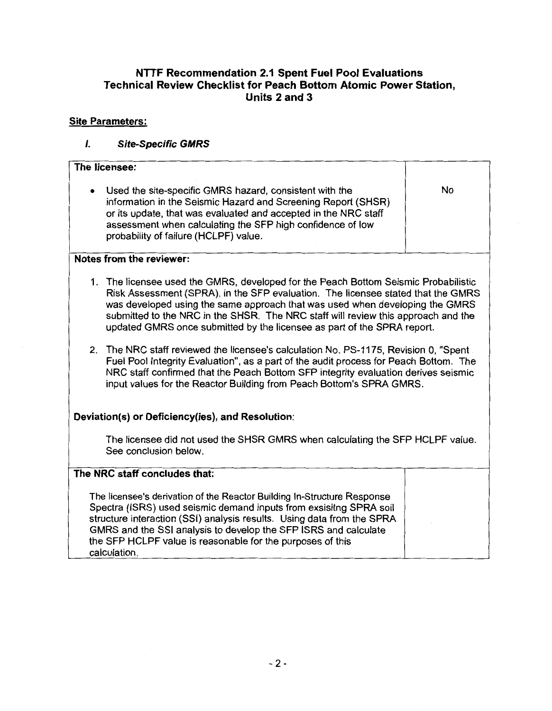# **NTTF Recommendation 2.1 Spent Fuel Pool Evaluations Technical Review Checklist for Peach Bottom Atomic Power Station, Units 2 and 3**

# **Site Parameters:**

calculation.

# I. **Site-Specific GMRS**

| The licensee:                                                                                                                                                                                                                                                                                      |                                                                                                                                                                                                                                                                                                                                                                                                                         |  |  |  |
|----------------------------------------------------------------------------------------------------------------------------------------------------------------------------------------------------------------------------------------------------------------------------------------------------|-------------------------------------------------------------------------------------------------------------------------------------------------------------------------------------------------------------------------------------------------------------------------------------------------------------------------------------------------------------------------------------------------------------------------|--|--|--|
| Used the site-specific GMRS hazard, consistent with the<br>information in the Seismic Hazard and Screening Report (SHSR)<br>or its update, that was evaluated and accepted in the NRC staff<br>assessment when calculating the SFP high confidence of low<br>probability of failure (HCLPF) value. | <b>No</b>                                                                                                                                                                                                                                                                                                                                                                                                               |  |  |  |
|                                                                                                                                                                                                                                                                                                    | Notes from the reviewer:                                                                                                                                                                                                                                                                                                                                                                                                |  |  |  |
|                                                                                                                                                                                                                                                                                                    | 1. The licensee used the GMRS, developed for the Peach Bottom Seismic Probabilistic<br>Risk Assessment (SPRA), in the SFP evaluation. The licensee stated that the GMRS<br>was developed using the same approach that was used when developing the GMRS<br>submitted to the NRC in the SHSR. The NRC staff will review this approach and the<br>updated GMRS once submitted by the licensee as part of the SPRA report. |  |  |  |
| 2.                                                                                                                                                                                                                                                                                                 | The NRC staff reviewed the licensee's calculation No. PS-1175, Revision 0, "Spent<br>Fuel Pool Integrity Evaluation", as a part of the audit process for Peach Bottom. The<br>NRC staff confirmed that the Peach Bottom SFP integrity evaluation derives seismic<br>input values for the Reactor Building from Peach Bottom's SPRA GMRS.                                                                                |  |  |  |
|                                                                                                                                                                                                                                                                                                    | Deviation(s) or Deficiency(ies), and Resolution:                                                                                                                                                                                                                                                                                                                                                                        |  |  |  |
|                                                                                                                                                                                                                                                                                                    | The licensee did not used the SHSR GMRS when calculating the SFP HCLPF value.<br>See conclusion below.                                                                                                                                                                                                                                                                                                                  |  |  |  |
|                                                                                                                                                                                                                                                                                                    | The NRC staff concludes that:                                                                                                                                                                                                                                                                                                                                                                                           |  |  |  |
|                                                                                                                                                                                                                                                                                                    | The licensee's derivation of the Reactor Building In-Structure Response<br>Spectra (ISRS) used seismic demand inputs from exsisitng SPRA soil<br>structure interaction (SSI) analysis results. Using data from the SPRA<br>GMRS and the SSI analysis to develop the SFP ISRS and calculate<br>the SFP HCLPF value is reasonable for the purposes of this                                                                |  |  |  |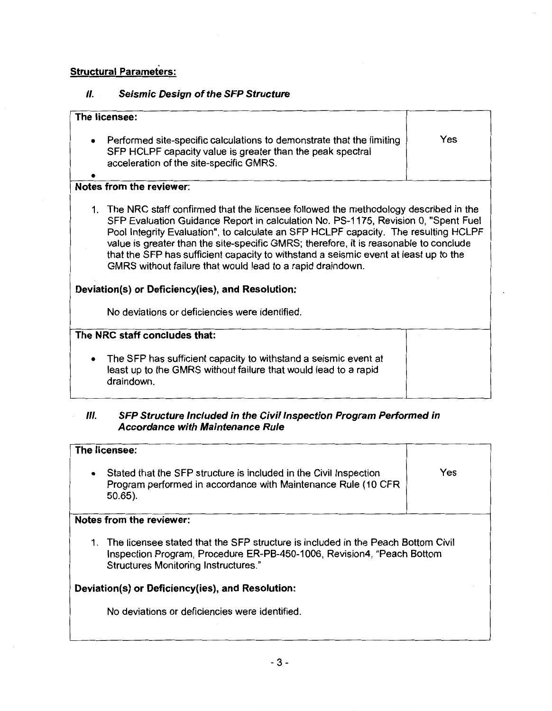# **Structural Parameters:**

# II. **Seismic Design of the SFP Structure**

| The licensee:                                                                                                                                                                                                                                                                                                                                                                                                                                                                                                      |     |  |  |
|--------------------------------------------------------------------------------------------------------------------------------------------------------------------------------------------------------------------------------------------------------------------------------------------------------------------------------------------------------------------------------------------------------------------------------------------------------------------------------------------------------------------|-----|--|--|
| Performed site-specific calculations to demonstrate that the limiting<br>$\bullet$<br>SFP HCLPF capacity value is greater than the peak spectral<br>acceleration of the site-specific GMRS.                                                                                                                                                                                                                                                                                                                        | Yes |  |  |
|                                                                                                                                                                                                                                                                                                                                                                                                                                                                                                                    |     |  |  |
| Notes from the reviewer:                                                                                                                                                                                                                                                                                                                                                                                                                                                                                           |     |  |  |
| 1. The NRC staff confirmed that the licensee followed the methodology described in the<br>SFP Evaluation Guidance Report in calculation No. PS-1175, Revision 0, "Spent Fuel<br>Pool Integrity Evaluation", to calculate an SFP HCLPF capacity. The resulting HCLPF<br>value is greater than the site-specific GMRS; therefore, it is reasonable to conclude<br>that the SFP has sufficient capacity to withstand a seismic event at least up to the<br>GMRS without failure that would lead to a rapid draindown. |     |  |  |
| Deviation(s) or Deficiency(ies), and Resolution:                                                                                                                                                                                                                                                                                                                                                                                                                                                                   |     |  |  |
| No deviations or deficiencies were identified.                                                                                                                                                                                                                                                                                                                                                                                                                                                                     |     |  |  |
| The NRC staff concludes that:                                                                                                                                                                                                                                                                                                                                                                                                                                                                                      |     |  |  |
| The SFP has sufficient capacity to withstand a seismic event at<br>$\bullet$<br>least up to the GMRS without failure that would lead to a rapid<br>draindown.                                                                                                                                                                                                                                                                                                                                                      |     |  |  |

## Ill. **SFP Structure Included in the Civil Inspection Program Performed in Accordance with Maintenance Rule**

| The licensee:                                                                                                                                                                                            |     |  |
|----------------------------------------------------------------------------------------------------------------------------------------------------------------------------------------------------------|-----|--|
| Stated that the SFP structure is included in the Civil Inspection<br>$\bullet$<br>Program performed in accordance with Maintenance Rule (10 CFR)<br>$50.65$ ).                                           | Yes |  |
| Notes from the reviewer:                                                                                                                                                                                 |     |  |
| The licensee stated that the SFP structure is included in the Peach Bottom Civil<br>1.<br>Inspection Program, Procedure ER-PB-450-1006, Revision4, "Peach Bottom<br>Structures Monitoring Instructures." |     |  |
| Deviation(s) or Deficiency(ies), and Resolution:                                                                                                                                                         |     |  |
| No deviations or deficiencies were identified.                                                                                                                                                           |     |  |
|                                                                                                                                                                                                          |     |  |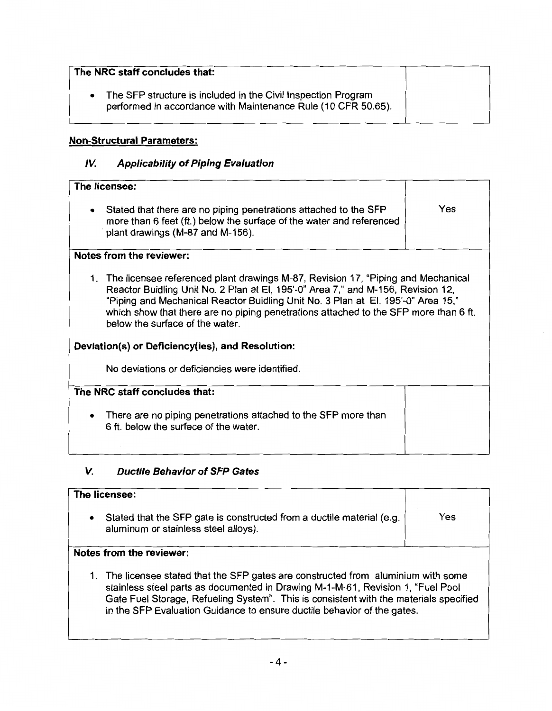| The NRC staff concludes that:                                                                                                  |  |
|--------------------------------------------------------------------------------------------------------------------------------|--|
| The SFP structure is included in the Civil Inspection Program<br>performed in accordance with Maintenance Rule (10 CFR 50.65). |  |

# **Non-Structural Parameters:**

# **IV. Applicability of Piping Evaluation**

| The licensee:                                                                                                                                                                                                                                                                                                                                                                          |     |  |  |
|----------------------------------------------------------------------------------------------------------------------------------------------------------------------------------------------------------------------------------------------------------------------------------------------------------------------------------------------------------------------------------------|-----|--|--|
| Stated that there are no piping penetrations attached to the SFP<br>$\bullet$<br>more than 6 feet (ft.) below the surface of the water and referenced<br>plant drawings (M-87 and M-156).                                                                                                                                                                                              | Yes |  |  |
| <b>Notes from the reviewer:</b>                                                                                                                                                                                                                                                                                                                                                        |     |  |  |
| 1. The licensee referenced plant drawings M-87, Revision 17, "Piping and Mechanical<br>Reactor Buidling Unit No. 2 Plan at El, 195'-0" Area 7," and M-156, Revision 12,<br>"Piping and Mechanical Reactor Buidling Unit No. 3 Plan at El. 195'-0" Area 15,"<br>which show that there are no piping penetrations attached to the SFP more than 6 ft.<br>below the surface of the water. |     |  |  |
| Deviation(s) or Deficiency(ies), and Resolution:                                                                                                                                                                                                                                                                                                                                       |     |  |  |
| No deviations or deficiencies were identified.                                                                                                                                                                                                                                                                                                                                         |     |  |  |
| The NRC staff concludes that:                                                                                                                                                                                                                                                                                                                                                          |     |  |  |
| There are no piping penetrations attached to the SFP more than<br>٠<br>6 ft. below the surface of the water.                                                                                                                                                                                                                                                                           |     |  |  |

# **V. Ductile Behavior of SFP Gates**

| The licensee:<br>Stated that the SFP gate is constructed from a ductile material (e.g.<br>$\bullet$<br>aluminum or stainless steel alloys).                                                                                                                                                                                                                           | Yes |
|-----------------------------------------------------------------------------------------------------------------------------------------------------------------------------------------------------------------------------------------------------------------------------------------------------------------------------------------------------------------------|-----|
| Notes from the reviewer:<br>1. The licensee stated that the SFP gates are constructed from aluminium with some<br>stainless steel parts as documented in Drawing M-1-M-61, Revision 1, "Fuel Pool<br>Gate Fuel Storage, Refueling System". This is consistent with the materials specified<br>in the SFP Evaluation Guidance to ensure ductile behavior of the gates. |     |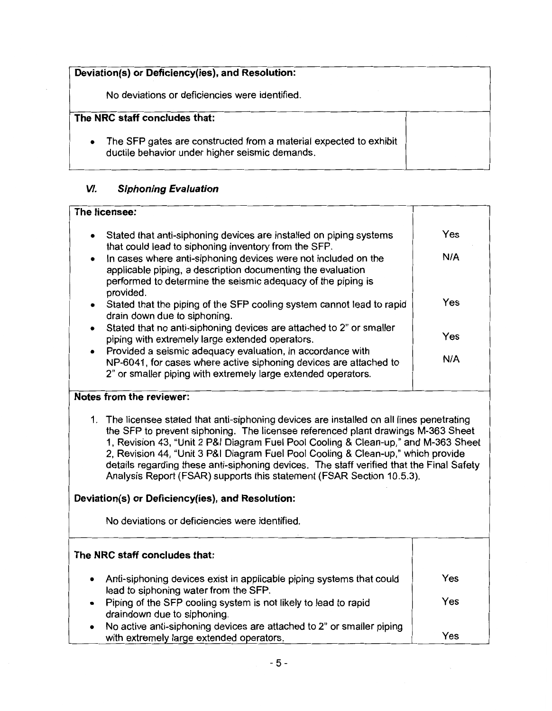| Deviation(s) or Deficiency(ies), and Resolution:                                                                                 |  |
|----------------------------------------------------------------------------------------------------------------------------------|--|
| No deviations or deficiencies were identified.                                                                                   |  |
| The NRC staff concludes that:                                                                                                    |  |
| The SFP gates are constructed from a material expected to exhibit<br>$\bullet$<br>ductile behavior under higher seismic demands. |  |

# **VI. Siphoning Evaluation**

#### **The licensee:**  • Stated that anti-siphoning devices are installed on piping systems that could lead to siphoning inventory from the SFP. • In cases where anti-siphoning devices were not included on the applicable piping, a description documenting the evaluation performed to determine the seismic adequacy of the piping is provided. • Stated that the piping of the SFP cooling system cannot lead to rapid drain down due to siphoning. Stated that no anti-siphoning devices are attached to 2" or smaller piping with extremely large extended operators. • Provided a seismic adequacy evaluation, in accordance with NP-6041, for cases where active siphoning devices are attached to 2" or smaller piping with extremely large extended operators. **Notes from the reviewer:**  Yes **N/A**  Yes Yes **N/A**

# 1. The licensee stated that anti-siphoning devices are installed on all lines penetrating the SFP to prevent siphoning. The licensee referenced plant drawings M-363 Sheet 1, Revision 43, "Unit 2 P&I Diagram Fuel Pool Cooling & Clean-up," and M-363 Sheet 2, Revision 44, "Unit 3 P&I Diagram Fuel Pool Cooling & Clean-up," which provide details regarding these anti-siphoning devices. The staff verified that the Final Safety Analysis Report (FSAR) supports this statement (FSAR Section 10.5.3).

# **Deviation{s) or Deficiency{ies), and Resolution:**

No deviations or deficiencies were identified.

| The NRC staff concludes that:                                                                                          |     |
|------------------------------------------------------------------------------------------------------------------------|-----|
| Anti-siphoning devices exist in applicable piping systems that could<br>٠<br>lead to siphoning water from the SFP.     | Yes |
| Piping of the SFP cooling system is not likely to lead to rapid<br>$\bullet$<br>draindown due to siphoning.            | Yes |
| No active anti-siphoning devices are attached to 2" or smaller piping<br>٠<br>with extremely large extended operators. | Yes |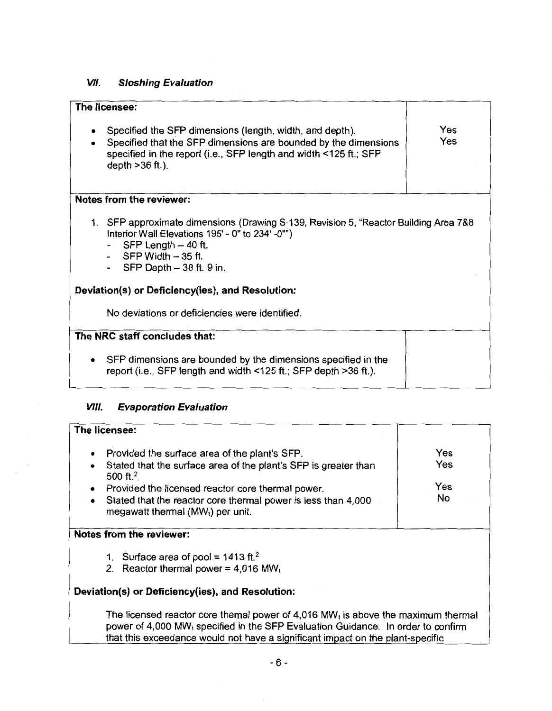# **VII. Sloshing Evaluation**

| The licensee:                                                                                                                                                                                                                   |            |  |  |
|---------------------------------------------------------------------------------------------------------------------------------------------------------------------------------------------------------------------------------|------------|--|--|
| Specified the SFP dimensions (length, width, and depth).<br>٠<br>Specified that the SFP dimensions are bounded by the dimensions<br>٠<br>specified in the report (i.e., SFP length and width <125 ft.; SFP<br>depth $>36$ ft.). | Yes<br>Yes |  |  |
| Notes from the reviewer:                                                                                                                                                                                                        |            |  |  |
| 1. SFP approximate dimensions (Drawing S-139, Revision 5, "Reactor Building Area 7&8<br>Interior Wall Elevations 195' - 0" to 234' -0"")<br>SFP Length $-40$ ft.<br>- $SFP$ Width $-35$ ft.<br>- SFP Depth $-38$ ft. 9 in.      |            |  |  |
| Deviation(s) or Deficiency(ies), and Resolution:                                                                                                                                                                                |            |  |  |
| No deviations or deficiencies were identified.                                                                                                                                                                                  |            |  |  |
| The NRC staff concludes that:                                                                                                                                                                                                   |            |  |  |
| SFP dimensions are bounded by the dimensions specified in the<br>٠<br>report (i.e., SFP length and width <125 ft.; SFP depth >36 ft.).                                                                                          |            |  |  |

# **VIII. Evaporation Evaluation**

| The licensee:                                                                                                                                                                                |     |  |
|----------------------------------------------------------------------------------------------------------------------------------------------------------------------------------------------|-----|--|
| Provided the surface area of the plant's SFP.<br>$\bullet$                                                                                                                                   | Yes |  |
| Stated that the surface area of the plant's SFP is greater than<br>$\bullet$<br>500 ft. <sup>2</sup>                                                                                         | Yes |  |
| Provided the licensed reactor core thermal power.<br>$\bullet$                                                                                                                               | Yes |  |
| Stated that the reactor core thermal power is less than 4,000<br>$\bullet$<br>megawatt thermal (MW <sub>t</sub> ) per unit.                                                                  | No  |  |
| Notes from the reviewer:                                                                                                                                                                     |     |  |
| 1. Surface area of pool = $1413$ ft. <sup>2</sup>                                                                                                                                            |     |  |
| 2. Reactor thermal power = $4,016$ MW <sub>t</sub>                                                                                                                                           |     |  |
| Deviation(s) or Deficiency(ies), and Resolution:                                                                                                                                             |     |  |
| The licensed reactor core themal power of 4,016 MW <sub>t</sub> is above the maximum thermal<br>power of 4,000 MW <sub>t</sub> specified in the SFP Evaluation Guidance. In order to confirm |     |  |
| that this exceedance would not have a significant impact on the plant-specific                                                                                                               |     |  |

 $\mathcal{L}$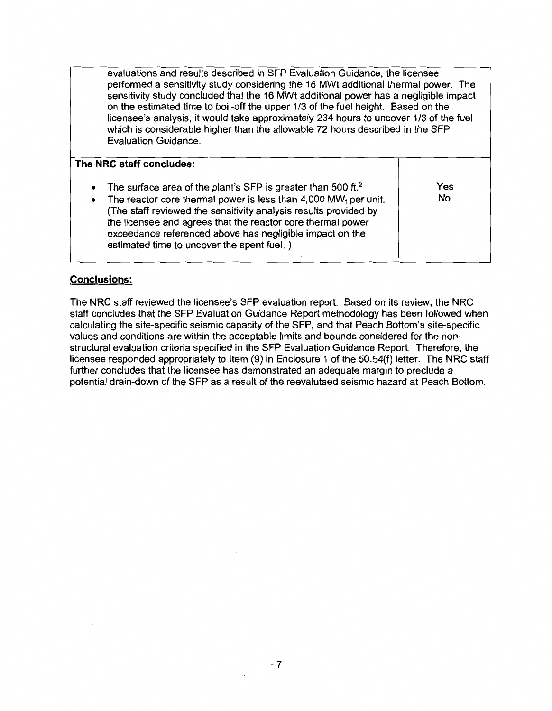evaluations and results described in SFP Evaluation Guidance, the licensee performed a sensitivity study considering the 16 MWt additional thermal power. The sensitivity study concluded that the 16 MWt additional power has a negligible impact on the estimated time to boil-off the upper 1/3 of the fuel height. Based on the licensee's analysis, it would take approximately 234 hours to uncover 1/3 of the fuel which is considerable higher than the allowable 72 hours described in the SFP Evaluation Guidance.

| The NRC staff concludes:                                                                                                                                                                                                                                                                                                                                                                                                         |           |
|----------------------------------------------------------------------------------------------------------------------------------------------------------------------------------------------------------------------------------------------------------------------------------------------------------------------------------------------------------------------------------------------------------------------------------|-----------|
| The surface area of the plant's SFP is greater than 500 ft. <sup>2</sup><br>$\bullet$<br>The reactor core thermal power is less than $4,000$ MW <sub>t</sub> per unit.<br>$\bullet$<br>(The staff reviewed the sensitivity analysis results provided by<br>the licensee and agrees that the reactor core thermal power<br>exceedance referenced above has negligible impact on the<br>estimated time to uncover the spent fuel.) | Yes<br>No |

# **Conclusions:**

The NRC staff reviewed the licensee's SFP evaluation report. Based on its review, the NRC staff concludes that the SFP Evaluation Guidance Report methodology has been followed when calculating the site-specific seismic capacity of the SFP, and that Peach Bottom's site-specific values and conditions are within the acceptable limits and bounds considered for the nonstructural evaluation criteria specified in the SFP Evaluation Guidance Report. Therefore, the licensee responded appropriately to Item (9) in Enclosure 1 of the 50.54(f) letter. The NRC staff further concludes that the licensee has demonstrated an adequate margin to preclude a potential drain-down of the SFP as a result of the reevalutaed seismic hazard at Peach Bottom.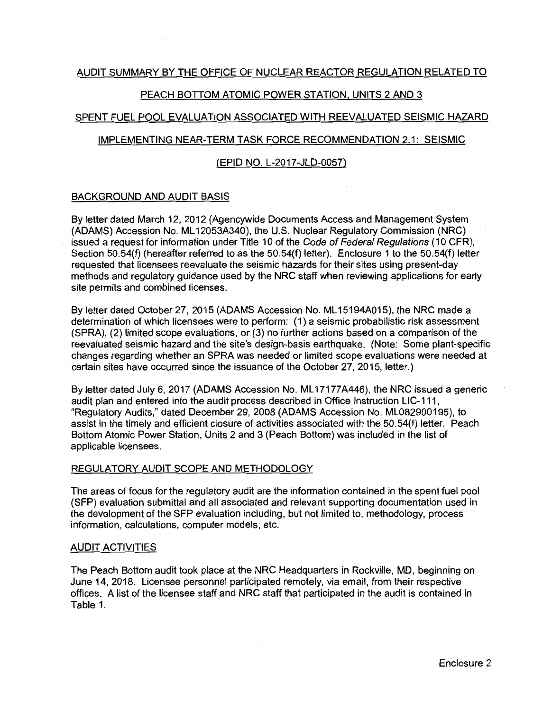## PEACH BOTTOM ATOMIC POWER STATION, UNITS 2 AND 3

## SPENT FUEL POOL EVALUATION ASSOCIATED WITH REEVALUATED SEISMIC HAZARD

### IMPLEMENTING NEAR-TERM TASK FORCE RECOMMENDATION 2.1: SEISMIC

### (EPID NO. L-2017-JLD-0057)

### BACKGROUND AND AUDIT BASIS

By letter dated March 12, 2012 (Agencywide Documents Access and Management System (ADAMS) Accession No. ML 12053A340), the U.S. Nuclear Regulatory Commission (NRC) issued a request for information under Title 10 of the Code of Federal Regulations ( 10 CFR), Section 50.54(f) {hereafter referred to as the 50.54(f) letter). Enclosure 1 to the 50.54(f) letter requested that licensees reevaluate the seismic hazards for their sites using present-day methods and regulatory guidance used by the NRC staff when reviewing applications for early site permits and combined licenses.

By letter dated October 27, 2015 (ADAMS Accession No. ML15194A015), the NRC made a determination of which licensees were to perform: (1) a seismic probabilistic risk assessment (SPRA), (2) limited scope evaluations, or (3) no further actions based on a comparison of the reevaluated seismic hazard and the site's design-basis earthquake. (Note: Some plant-specific changes regarding whether an SPRA was needed or limited scope evaluations were needed at certain sites have occurred since the issuance of the October 27, 2015, letter.)

By letter dated July 6, 2017 (ADAMS Accession No. ML17177A446), the NRC issued a generic audit plan and entered into the audit process described in Office Instruction LIC-111, "Regulatory Audits," dated December 29, 2008 (ADAMS Accession No. ML082900195}, to assist in the timely and efficient closure of activities associated with the 50.54(f) letter. Peach Bottom Atomic Power Station, Units 2 and 3 (Peach Bottom) was included in the list of applicable licensees.

#### REGULATORY AUDIT SCOPE AND METHODOLOGY

The areas of focus for the regulatory audit are the information contained in the spent fuel pool (SFP) evaluation submittal and all associated and relevant supporting documentation used in the development of the SFP evaluation including, but not limited to, methodology, process information, calculations, computer models, etc.

#### AUDIT ACTIVITIES

The Peach Bottom audit took place at the NRC Headquarters in Rockville, MD, beginning on June 14, 2018. Licensee personnel participated remotely, via email, from their respective offices. A list of the licensee staff and NRC staff that participated in the audit is contained in Table 1.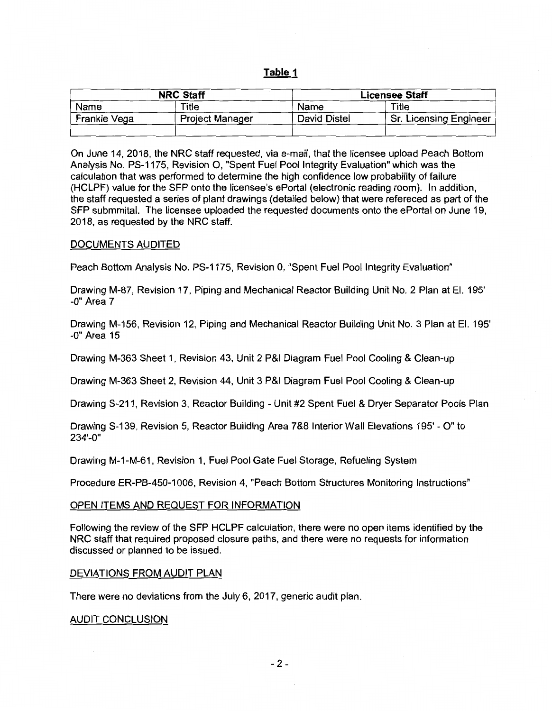| ٠<br>л | Π<br>υ |  |
|--------|--------|--|
|        |        |  |

| <b>NRC Staff</b> |                        |                     | <b>Licensee Staff</b>         |  |
|------------------|------------------------|---------------------|-------------------------------|--|
| Name             | Title                  | Name                | Title                         |  |
| Frankie Vega     | <b>Project Manager</b> | <b>David Distel</b> | <b>Sr. Licensing Engineer</b> |  |
|                  |                        |                     |                               |  |

On June 14, 2018, the NRC staff requested, via e-mail, that the licensee upload Peach Bottom Analysis No. PS-1175, Revision 0, "Spent Fuel Pool Integrity Evaluation" which was the calculation that was performed to determine the high confidence low probability of failure (HCLPF) value for the SFP onto the licensee's ePortal (electronic reading room). In addition, the staff requested a series of plant drawings (detailed below) that were refereced as part of the SFP submmital. The licensee uploaded the requested documents onto the ePortal on June 19, 2018, as requested by the NRC staff.

#### DOCUMENTS AUDITED

Peach Bottom Analysis No. PS-1175, Revision 0, "Spent Fuel Pool Integrity Evaluation"

Drawing M-87, Revision 17, Piping and Mechanical Reactor Building Unit No. 2 Plan at El. 195' -0" Area 7

Drawing M-156, Revision 12, Piping and Mechanical Reactor Building Unit No. 3 Plan at El. 195' -0" Area 15

Drawing M-363 Sheet 1, Revision 43, Unit 2 P&I Diagram Fuel Pool Cooling & Clean-up

Drawing M-363 Sheet 2, Revision 44, Unit 3 P&I Diagram Fuel Pool Cooling & Clean-up

Drawing S-211, Revision 3, Reactor Building - Unit #2 Spent Fuel & Dryer Separator Pools Plan

Drawing S-139, Revision 5, Reactor Building Area 7&8 Interior Wall Elevations 195' - O" to 234'-0"

Drawing M-1-M-61, Revision 1, Fuel Pool Gate Fuel Storage, Refueling System

Procedure ER-PB-450-1006, Revision 4, "Peach Bottom Structures Monitoring Instructions"

#### OPEN ITEMS AND REQUEST FOR INFORMATION

Following the review of the SFP HCLPF calculation, there were no open items identified by the NRC staff that required proposed closure paths, and there were no requests for information discussed or planned to be issued.

#### **DEVIATIONS FROM AUDIT PLAN**

There were no deviations from the July 6, 2017, generic audit plan.

#### **AUDIT CONCLUSION**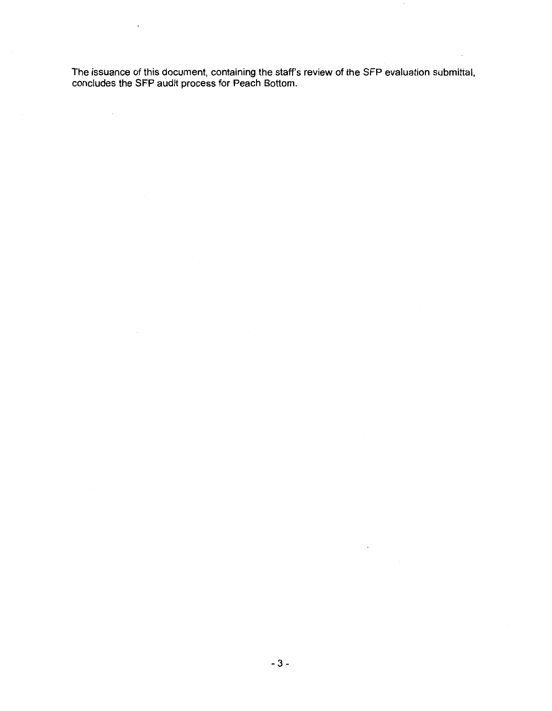The issuance of this document, containing the staff's review of the SFP evaluation submittal, concludes the SFP audit process for Peach Bottom.

 $\mathbf{r}$ 

 $\sim 10^{-1}$ 

 $\sim 10^{-10}$